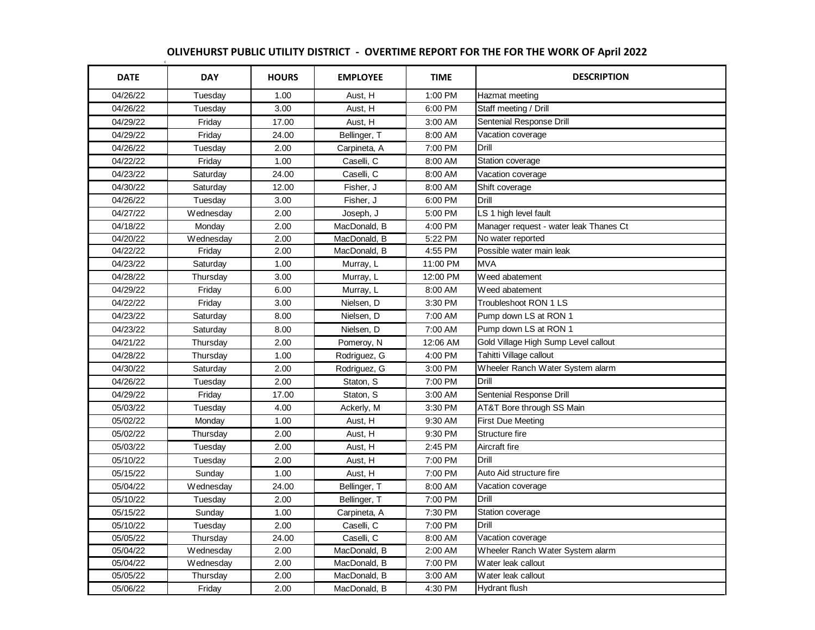## c **OLIVEHURST PUBLIC UTILITY DISTRICT - OVERTIME REPORT FOR THE FOR THE WORK OF April 2022**

| <b>DATE</b> | <b>DAY</b> | <b>HOURS</b> | <b>EMPLOYEE</b>         | <b>TIME</b> | <b>DESCRIPTION</b>                     |
|-------------|------------|--------------|-------------------------|-------------|----------------------------------------|
| 04/26/22    | Tuesday    | 1.00         | Aust, H                 | 1:00 PM     | Hazmat meeting                         |
| 04/26/22    | Tuesday    | 3.00         | Aust, H                 | 6:00 PM     | Staff meeting / Drill                  |
| 04/29/22    | Friday     | 17.00        | Aust, H                 | 3:00 AM     | Sentenial Response Drill               |
| 04/29/22    | Friday     | 24.00        | Bellinger, T            | 8:00 AM     | Vacation coverage                      |
| 04/26/22    | Tuesday    | 2.00         | Carpineta, A            | 7:00 PM     | Drill                                  |
| 04/22/22    | Friday     | 1.00         | Caselli, C              | 8:00 AM     | Station coverage                       |
| 04/23/22    | Saturday   | 24.00        | Caselli, C              | 8:00 AM     | Vacation coverage                      |
| 04/30/22    | Saturday   | 12.00        | Fisher, J               | 8:00 AM     | Shift coverage                         |
| 04/26/22    | Tuesday    | 3.00         | Fisher, J               | 6:00 PM     | Drill                                  |
| 04/27/22    | Wednesday  | 2.00         | Joseph, J               | 5:00 PM     | LS 1 high level fault                  |
| 04/18/22    | Monday     | 2.00         | MacDonald, B            | 4:00 PM     | Manager request - water leak Thanes Ct |
| 04/20/22    | Wednesday  | 2.00         | MacDonald, B            | 5:22 PM     | No water reported                      |
| 04/22/22    | Friday     | 2.00         | MacDonald, B            | 4:55 PM     | Possible water main leak               |
| 04/23/22    | Saturday   | 1.00         | Murray, L               | 11:00 PM    | <b>MVA</b>                             |
| 04/28/22    | Thursday   | 3.00         | Murray, L               | 12:00 PM    | Weed abatement                         |
| 04/29/22    | Friday     | 6.00         | Murray, L               | 8:00 AM     | Weed abatement                         |
| 04/22/22    | Friday     | 3.00         | Nielsen, D              | 3:30 PM     | Troubleshoot RON 1 LS                  |
| 04/23/22    | Saturday   | 8.00         | Nielsen, D              | 7:00 AM     | Pump down LS at RON 1                  |
| 04/23/22    | Saturday   | 8.00         | Nielsen, D              | 7:00 AM     | Pump down LS at RON 1                  |
| 04/21/22    | Thursday   | 2.00         | Pomeroy, N              | 12:06 AM    | Gold Village High Sump Level callout   |
| 04/28/22    | Thursday   | 1.00         | Rodriguez, G            | 4:00 PM     | Tahitti Village callout                |
| 04/30/22    | Saturday   | 2.00         | Rodriguez, G<br>3:00 PM |             | Wheeler Ranch Water System alarm       |
| 04/26/22    | Tuesday    | 2.00         | Staton, S<br>7:00 PM    |             | Drill                                  |
| 04/29/22    | Friday     | 17.00        | Staton, S               | 3:00 AM     | Sentenial Response Drill               |
| 05/03/22    | Tuesday    | 4.00         | Ackerly, M              | 3:30 PM     | AT&T Bore through SS Main              |
| 05/02/22    | Monday     | 1.00         | Aust, H                 | 9:30 AM     | <b>First Due Meeting</b>               |
| 05/02/22    | Thursday   | 2.00         | Aust, H                 | 9:30 PM     | Structure fire                         |
| 05/03/22    | Tuesday    | 2.00         | Aust, H                 | 2:45 PM     | Aircraft fire                          |
| 05/10/22    | Tuesday    | 2.00         | Aust, H                 | 7:00 PM     | Drill                                  |
| 05/15/22    | Sunday     | 1.00         | Aust, H                 | 7:00 PM     | Auto Aid structure fire                |
| 05/04/22    | Wednesday  | 24.00        | Bellinger, T            | 8:00 AM     | Vacation coverage                      |
| 05/10/22    | Tuesday    | 2.00         | Bellinger, T            | 7:00 PM     | Drill                                  |
| 05/15/22    | Sunday     | 1.00         | Carpineta, A            | 7:30 PM     | Station coverage                       |
| 05/10/22    | Tuesday    | 2.00         | Caselli, C              | 7:00 PM     | Drill                                  |
| 05/05/22    | Thursday   | 24.00        | Caselli, C              | 8:00 AM     | Vacation coverage                      |
| 05/04/22    | Wednesday  | 2.00         | MacDonald, B            | 2:00 AM     | Wheeler Ranch Water System alarm       |
| 05/04/22    | Wednesday  | 2.00         | MacDonald, B            | 7:00 PM     | Water leak callout                     |
| 05/05/22    | Thursday   | 2.00         | MacDonald, B            | 3:00 AM     | Water leak callout                     |
| 05/06/22    | Friday     | 2.00         | MacDonald, B            | 4:30 PM     | <b>Hydrant flush</b>                   |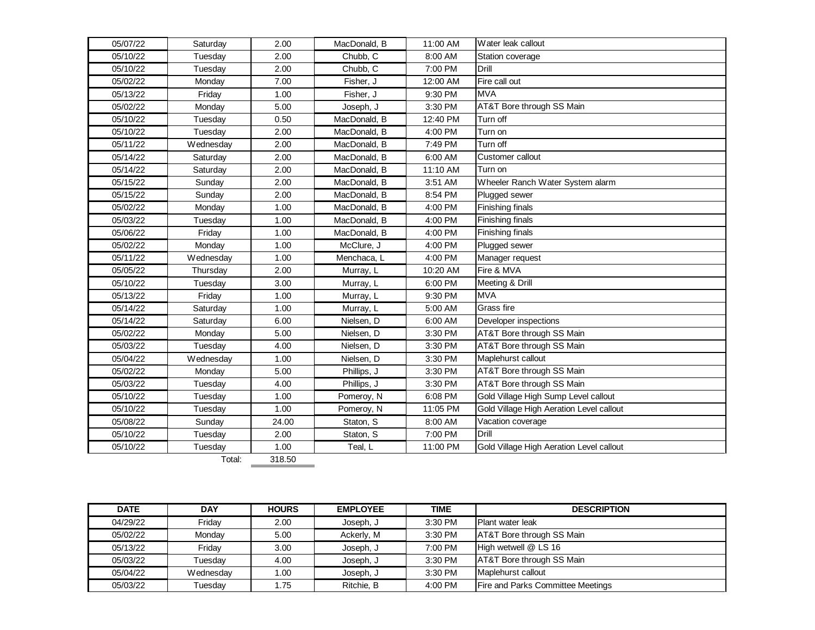| 05/07/22 | Saturday  | 2.00  | MacDonald, B | 11:00 AM | Water leak callout                       |
|----------|-----------|-------|--------------|----------|------------------------------------------|
| 05/10/22 | Tuesday   | 2.00  | Chubb, C     | 8:00 AM  | Station coverage                         |
| 05/10/22 | Tuesday   | 2.00  | Chubb, C     | 7:00 PM  | Drill                                    |
| 05/02/22 | Monday    | 7.00  | Fisher, J    | 12:00 AM | Fire call out                            |
| 05/13/22 | Friday    | 1.00  | Fisher, J    | 9:30 PM  | <b>MVA</b>                               |
| 05/02/22 | Monday    | 5.00  | Joseph, J    | 3:30 PM  | AT&T Bore through SS Main                |
| 05/10/22 | Tuesday   | 0.50  | MacDonald, B | 12:40 PM | Turn off                                 |
| 05/10/22 | Tuesday   | 2.00  | MacDonald, B | 4:00 PM  | Turn on                                  |
| 05/11/22 | Wednesday | 2.00  | MacDonald, B | 7:49 PM  | Turn off                                 |
| 05/14/22 | Saturday  | 2.00  | MacDonald, B | 6:00 AM  | Customer callout                         |
| 05/14/22 | Saturday  | 2.00  | MacDonald, B | 11:10 AM | Turn on                                  |
| 05/15/22 | Sunday    | 2.00  | MacDonald, B | 3:51 AM  | Wheeler Ranch Water System alarm         |
| 05/15/22 | Sunday    | 2.00  | MacDonald, B | 8:54 PM  | Plugged sewer                            |
| 05/02/22 | Monday    | 1.00  | MacDonald, B | 4:00 PM  | Finishing finals                         |
| 05/03/22 | Tuesday   | 1.00  | MacDonald, B | 4:00 PM  | Finishing finals                         |
| 05/06/22 | Friday    | 1.00  | MacDonald, B | 4:00 PM  | Finishing finals                         |
| 05/02/22 | Monday    | 1.00  | McClure, J   | 4:00 PM  | Plugged sewer                            |
| 05/11/22 | Wednesday | 1.00  | Menchaca, L  | 4:00 PM  | Manager request                          |
| 05/05/22 | Thursday  | 2.00  | Murray, L    | 10:20 AM | Fire & MVA                               |
| 05/10/22 | Tuesday   | 3.00  | Murray, L    | 6:00 PM  | Meeting & Drill                          |
| 05/13/22 | Friday    | 1.00  | Murray, L    | 9:30 PM  | <b>MVA</b>                               |
| 05/14/22 | Saturday  | 1.00  | Murray, L    | 5:00 AM  | Grass fire                               |
| 05/14/22 | Saturday  | 6.00  | Nielsen, D   | 6:00 AM  | Developer inspections                    |
| 05/02/22 | Monday    | 5.00  | Nielsen, D   | 3:30 PM  | AT&T Bore through SS Main                |
| 05/03/22 | Tuesday   | 4.00  | Nielsen, D   | 3:30 PM  | AT&T Bore through SS Main                |
| 05/04/22 | Wednesday | 1.00  | Nielsen, D   | 3:30 PM  | Maplehurst callout                       |
| 05/02/22 | Monday    | 5.00  | Phillips, J  | 3:30 PM  | AT&T Bore through SS Main                |
| 05/03/22 | Tuesday   | 4.00  | Phillips, J  | 3:30 PM  | AT&T Bore through SS Main                |
| 05/10/22 | Tuesday   | 1.00  | Pomeroy, N   | 6:08 PM  | Gold Village High Sump Level callout     |
| 05/10/22 | Tuesday   | 1.00  | Pomeroy, N   | 11:05 PM | Gold Village High Aeration Level callout |
| 05/08/22 | Sunday    | 24.00 | Staton, S    | 8:00 AM  | Vacation coverage                        |
| 05/10/22 | Tuesday   | 2.00  | Staton, S    | 7:00 PM  | Drill                                    |
| 05/10/22 | Tuesday   | 1.00  | Teal, L      | 11:00 PM | Gold Village High Aeration Level callout |

Total: 318.50

| <b>DATE</b> | <b>DAY</b> | <b>HOURS</b> | <b>EMPLOYEE</b> | <b>TIME</b> | <b>DESCRIPTION</b>                       |
|-------------|------------|--------------|-----------------|-------------|------------------------------------------|
| 04/29/22    | Fridav     | 2.00         | Joseph, J       | $3:30$ PM   | Plant water leak                         |
| 05/02/22    | Mondav     | 5.00         | Ackerly, M      | 3:30 PM     | AT&T Bore through SS Main                |
| 05/13/22    | Fridav     | 3.00         | Joseph, J       | 7:00 PM     | High wetwell @ LS 16                     |
| 05/03/22    | Tuesdav    | 4.00         | Joseph, J       | 3:30 PM     | AT&T Bore through SS Main                |
| 05/04/22    | Wednesday  | .00          | Joseph, J       | 3:30 PM     | Maplehurst callout                       |
| 05/03/22    | Tuesdav    | .75          | Ritchie. B      | 4:00 PM     | <b>Fire and Parks Committee Meetings</b> |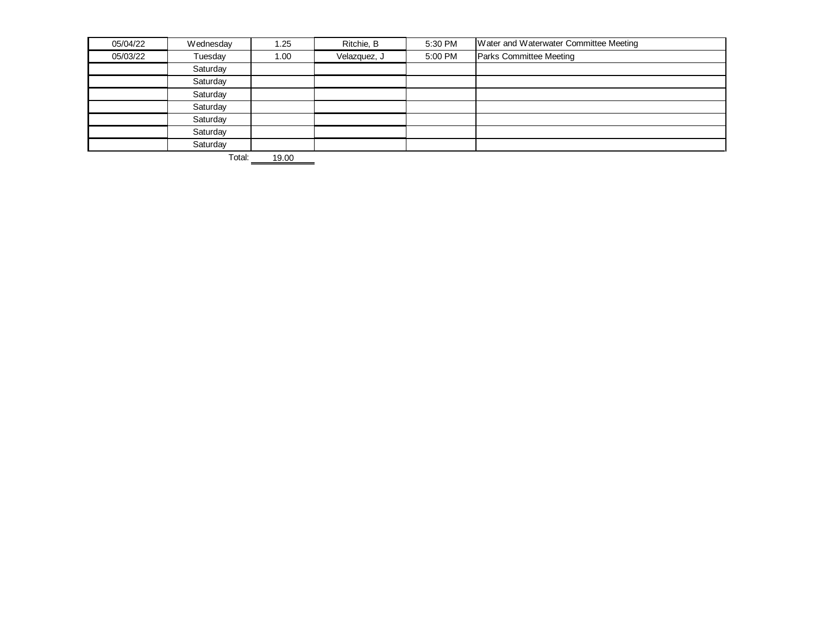| 05/04/22 | Wednesday | 1.25 | Ritchie, B   | 5:30 PM | Water and Waterwater Committee Meeting |
|----------|-----------|------|--------------|---------|----------------------------------------|
| 05/03/22 | Tuesday   | 1.00 | Velazquez, J | 5:00 PM | Parks Committee Meeting                |
|          | Saturday  |      |              |         |                                        |
|          | Saturday  |      |              |         |                                        |
|          | Saturday  |      |              |         |                                        |
|          | Saturday  |      |              |         |                                        |
|          | Saturday  |      |              |         |                                        |
|          | Saturday  |      |              |         |                                        |
|          | Saturday  |      |              |         |                                        |

Total: 19.00